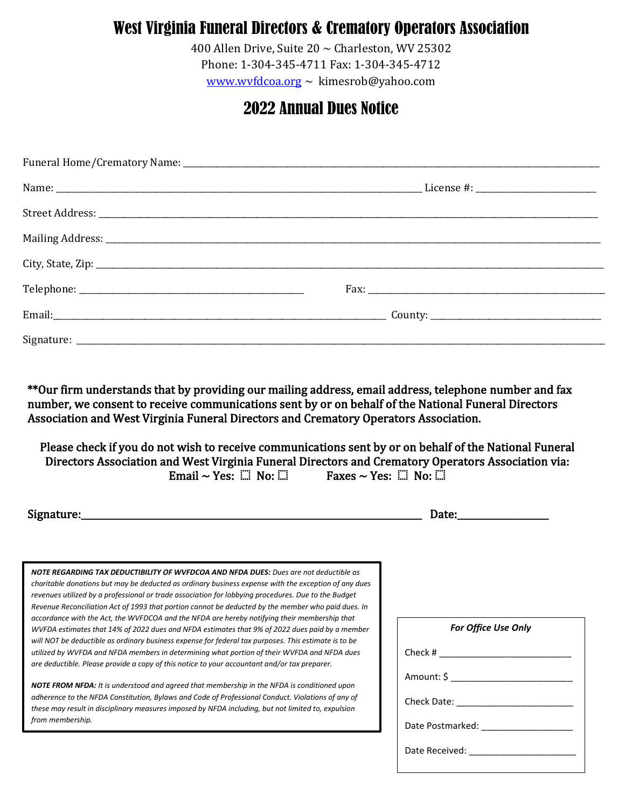### West Virginia Funeral Directors & Crematory Operators Association

400 Allen Drive, Suite  $20 \sim$  Charleston, WV 25302 Phone: 1-304-345-4711 Fax: 1-304-345-4712

[www.wvfdcoa.org](http://www.wvfdcoa.org/)  $\sim$  [kimesrob@yahoo.com](mailto:kimesrob@yahoo.com)

#### 2022 Annual Dues Notice

number, we consent to receive communications sent by or on behalf of the National Funeral Directors Association and West Virginia Funeral Directors and Crematory Operators Association. \*\*Our firm understands that by providing our mailing address, email address, telephone number and fax

Please check if you do not wish to receive communications sent by or on behalf of the National Funeral Directors Association and West Virginia Funeral Directors and Crematory Operators Association via: Email ~ Yes:  $\Box \text{ No: } \Box$  Faxes ~ Yes:  $\Box \text{ No: } \Box$ 

Signature:\_\_\_\_\_\_\_\_\_\_\_\_\_\_\_\_\_\_\_\_\_\_\_\_\_\_\_\_\_\_\_\_\_\_\_\_\_\_\_\_\_\_\_\_\_\_\_\_\_\_\_\_\_\_\_\_\_\_\_\_\_\_\_\_\_\_\_\_\_\_\_\_\_\_\_ Date:\_\_\_\_\_\_\_\_\_\_\_\_\_\_\_\_\_\_\_\_

*NOTE REGARDING TAX DEDUCTIBILITY OF WVFDCOA AND NFDA DUES: Dues are not deductible as charitable donations but may be deducted as ordinary business expense with the exception of any dues revenues utilized by a professional or trade association for lobbying procedures. Due to the Budget Revenue Reconciliation Act of 1993 that portion cannot be deducted by the member who paid dues. In accordance with the Act, the WVFDCOA and the NFDA are hereby notifying their membership that WVFDA estimates that 14% of 2022 dues and NFDA estimates that 9% of 2022 dues paid by a member will NOT be deductible as ordinary business expense for federal tax purposes. This estimate is to be utilized by WVFDA and NFDA members in determining what portion of their WVFDA and NFDA dues are deductible. Please provide a copy of this notice to your accountant and/or tax preparer.*

*NOTE FROM NFDA: It is understood and agreed that membership in the NFDA is conditioned upon adherence to the NFDA Constitution, Bylaws and Code of Professional Conduct. Violations of any of these may result in disciplinary measures imposed by NFDA including, but not limited to, expulsion from membership.*

| <b>For Office Use Only</b>           |  |  |  |
|--------------------------------------|--|--|--|
|                                      |  |  |  |
| Amount: \$ _________________________ |  |  |  |
|                                      |  |  |  |
|                                      |  |  |  |
| Date Received: ___________________   |  |  |  |
|                                      |  |  |  |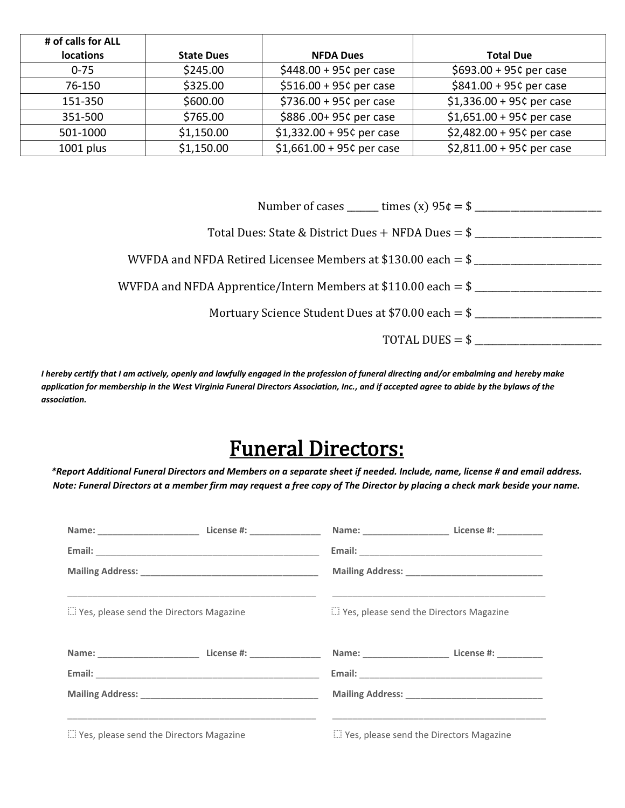| # of calls for ALL |                   |                             |                             |
|--------------------|-------------------|-----------------------------|-----------------------------|
| <b>locations</b>   | <b>State Dues</b> | <b>NFDA Dues</b>            | <b>Total Due</b>            |
| $0 - 75$           | \$245.00          | $$448.00 + 95¢$ per case    | \$693.00 + 95¢ per case     |
| 76-150             | \$325.00          | $$516.00 + 95c$ per case    | $$841.00 + 95c$ per case    |
| 151-350            | \$600.00          | $$736.00 + 95c$ per case    | $$1,336.00 + 95c$ per case  |
| 351-500            | \$765.00          | \$886.00+95¢ per case       | $$1,651.00 + 95c$ per case  |
| 501-1000           | \$1,150.00        | $$1,332.00 + 95$ c per case | \$2,482.00 + 95¢ per case   |
| $1001$ plus        | \$1,150.00        | $$1,661.00 + 95$ c per case | $$2,811.00 + 95$ c per case |

|                   | WVFDA and NFDA Apprentice/Intern Members at \$110.00 each $=$ \$ |
|-------------------|------------------------------------------------------------------|
|                   | Mortuary Science Student Dues at $$70.00$ each = $$$             |
| TOTAL DUES $=$ \$ |                                                                  |
|                   |                                                                  |

*I hereby certify that I am actively, openly and lawfully engaged in the profession of funeral directing and/or embalming and hereby make application for membership in the West Virginia Funeral Directors Association, Inc., and if accepted agree to abide by the bylaws of the association.* 

# Funeral Directors:

*\*Report Additional Funeral Directors and Members on a separate sheet if needed. Include, name, license # and email address. Note: Funeral Directors at a member firm may request a free copy of The Director by placing a check mark beside your name.*

| in Yes, please send the Directors Magazine |  |  |                                                                                                                                      |
|--------------------------------------------|--|--|--------------------------------------------------------------------------------------------------------------------------------------|
|                                            |  |  |                                                                                                                                      |
|                                            |  |  | Name: ______________________________License #: ________________________________Name: ________________________License #: ____________ |
|                                            |  |  |                                                                                                                                      |
|                                            |  |  |                                                                                                                                      |
|                                            |  |  |                                                                                                                                      |
|                                            |  |  | <u> 1989 - Johann John Stone, Amerikaansk politiker (* 1989)</u>                                                                     |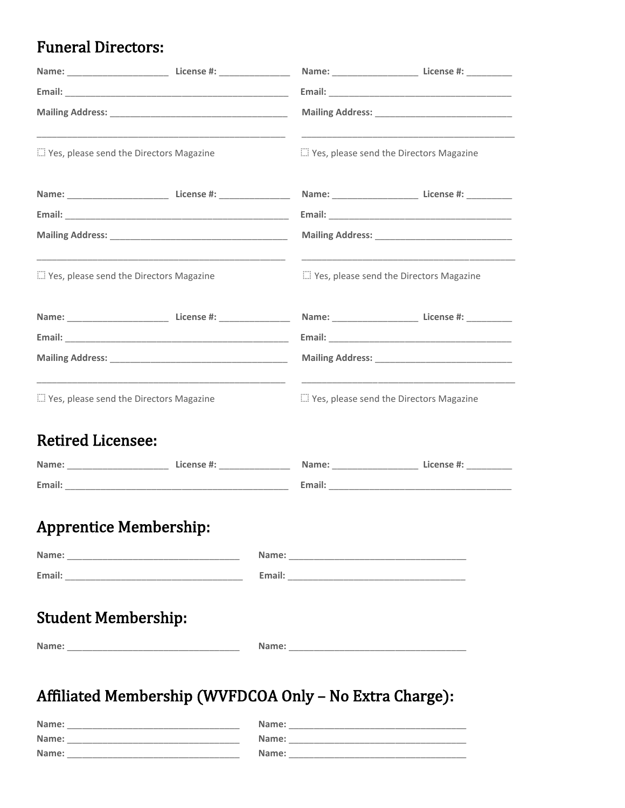### **Funeral Directors:**

| " Yes, please send the Directors Magazine  |  | in Yes, please send the Directors Magazine |  |                                                             |
|--------------------------------------------|--|--------------------------------------------|--|-------------------------------------------------------------|
|                                            |  |                                            |  |                                                             |
|                                            |  |                                            |  |                                                             |
|                                            |  |                                            |  |                                                             |
| "> Yes, please send the Directors Magazine |  | i Yes, please send the Directors Magazine  |  |                                                             |
|                                            |  |                                            |  | Name: _____________________________ License #: ____________ |
|                                            |  |                                            |  |                                                             |
|                                            |  |                                            |  |                                                             |
| "" Yes, please send the Directors Magazine |  | in Yes, please send the Directors Magazine |  |                                                             |
| <b>Retired Licensee:</b>                   |  |                                            |  |                                                             |
|                                            |  |                                            |  |                                                             |
|                                            |  |                                            |  |                                                             |
| <b>Apprentice Membership:</b>              |  |                                            |  |                                                             |
|                                            |  |                                            |  |                                                             |
|                                            |  |                                            |  |                                                             |
| <b>Student Membership:</b>                 |  |                                            |  |                                                             |
|                                            |  |                                            |  |                                                             |

| Name: | Name: |
|-------|-------|
| Name: | Name: |
| Name: | Name: |